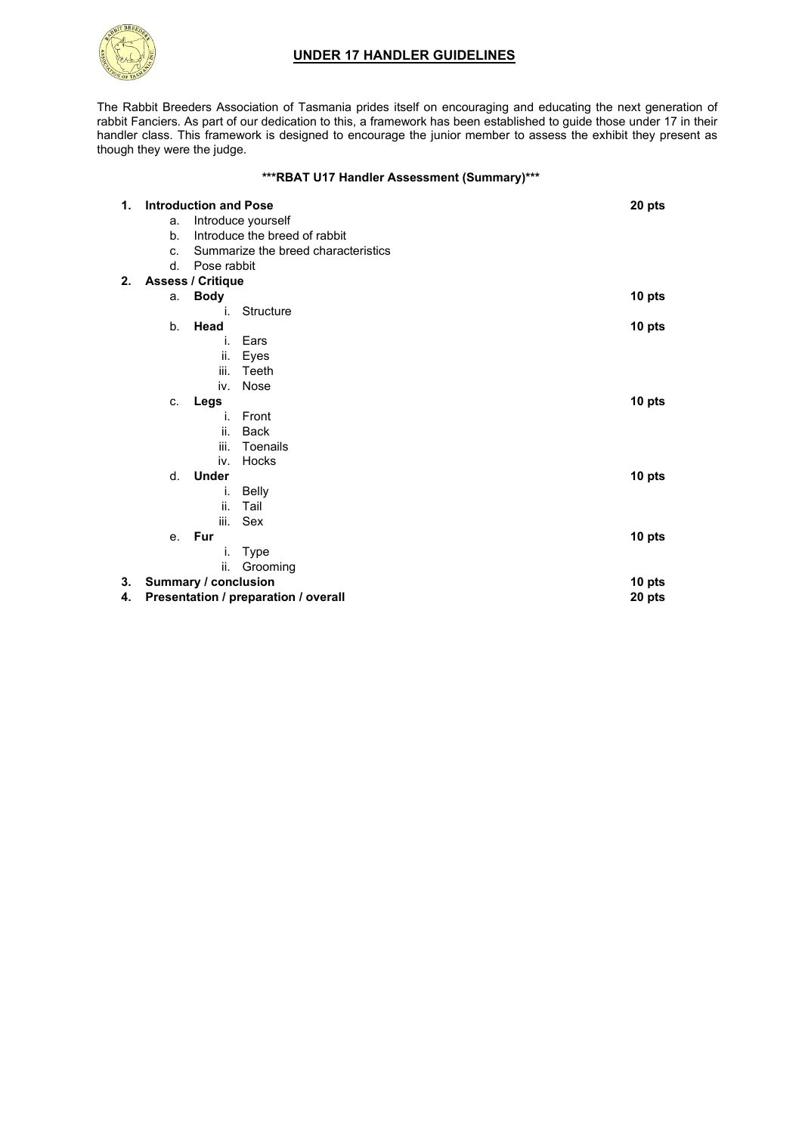# **UNDER 17 HANDLER GUIDELINES**



The Rabbit Breeders Association of Tasmania prides itself on encouraging and educating the next generation of rabbit Fanciers. As part of our dedication to this, a framework has been established to guide those under 17 in their handler class. This framework is designed to encourage the junior member to assess the exhibit they present as though they were the judge.

### **\*\*\*RBAT U17 Handler Assessment (Summary)\*\*\***

| 1. | <b>Introduction and Pose</b>         |                    |                                     | 20 pts |
|----|--------------------------------------|--------------------|-------------------------------------|--------|
|    | a.                                   | Introduce yourself |                                     |        |
|    | b.                                   |                    | Introduce the breed of rabbit       |        |
|    | C.                                   |                    | Summarize the breed characteristics |        |
|    | $d_{-}$                              | Pose rabbit        |                                     |        |
| 2. | <b>Assess / Critique</b>             |                    |                                     |        |
|    | a.                                   | <b>Body</b>        |                                     | 10 pts |
|    |                                      | i.                 | Structure                           |        |
|    | b <sub>1</sub>                       | Head               |                                     | 10 pts |
|    |                                      | İ.                 | Ears                                |        |
|    |                                      | ii.                | Eyes                                |        |
|    |                                      | iii.               | Teeth                               |        |
|    |                                      | iv.                | Nose                                |        |
|    | C.                                   | Legs               |                                     | 10 pts |
|    |                                      | i.                 | Front                               |        |
|    |                                      | ii.                | <b>Back</b>                         |        |
|    |                                      | iii.               | Toenails                            |        |
|    |                                      | iv.                | Hocks                               |        |
|    | d.                                   | <b>Under</b>       |                                     | 10 pts |
|    |                                      | i.                 | Belly                               |        |
|    |                                      | ii.                | Tail                                |        |
|    |                                      | iii.               | Sex                                 |        |
|    | е.                                   | Fur                |                                     | 10 pts |
|    |                                      | İ.                 | Type                                |        |
|    |                                      | ii.                | Grooming                            |        |
| 3. | Summary / conclusion                 |                    |                                     | 10 pts |
| 4. | Presentation / preparation / overall |                    |                                     | 20 pts |
|    |                                      |                    |                                     |        |